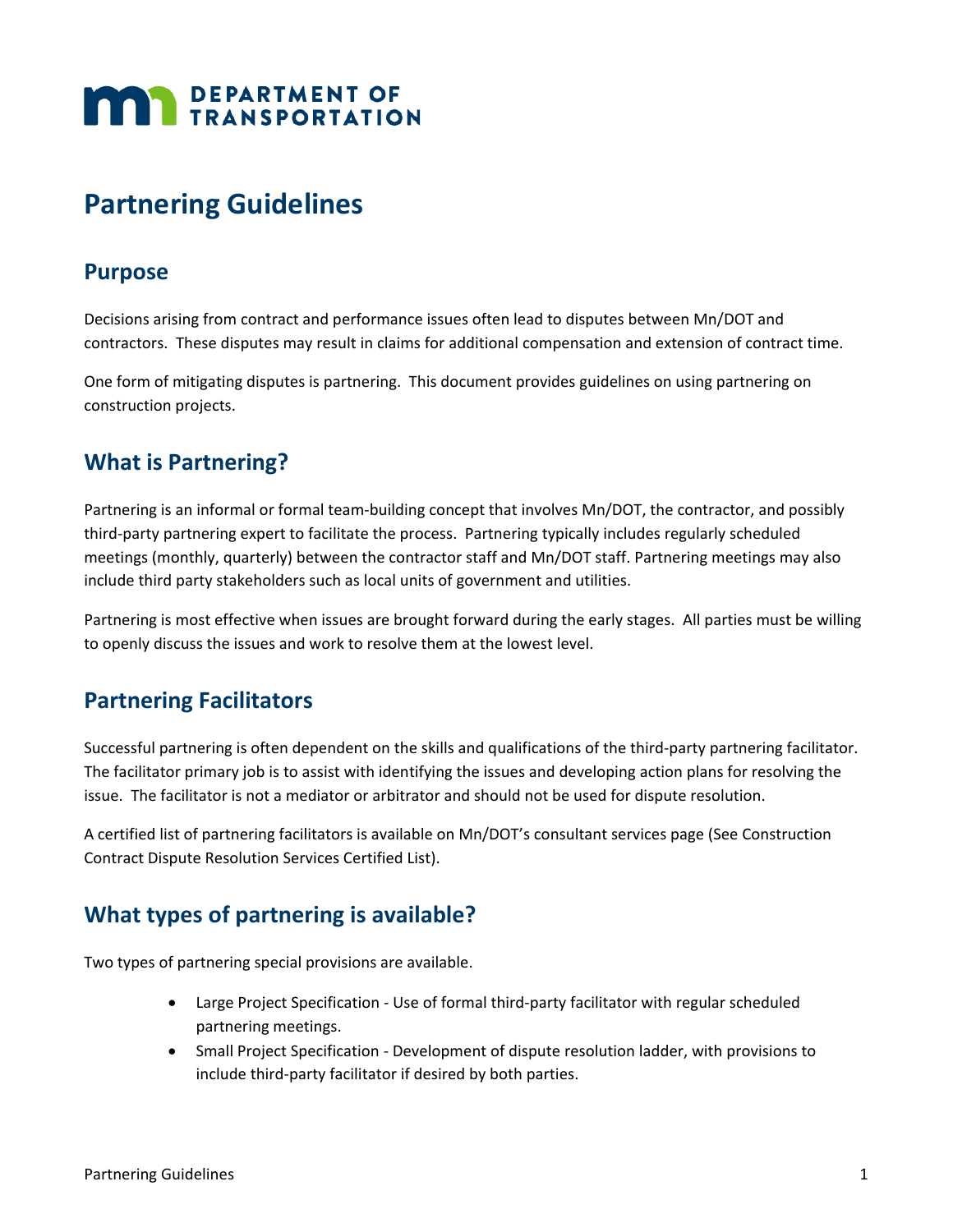# **MAN** DEPARTMENT OF

# **Partnering Guidelines**

#### **Purpose**

Decisions arising from contract and performance issues often lead to disputes between Mn/DOT and contractors. These disputes may result in claims for additional compensation and extension of contract time.

One form of mitigating disputes is partnering. This document provides guidelines on using partnering on construction projects.

## **What is Partnering?**

Partnering is an informal or formal team-building concept that involves Mn/DOT, the contractor, and possibly third-party partnering expert to facilitate the process. Partnering typically includes regularly scheduled meetings (monthly, quarterly) between the contractor staff and Mn/DOT staff. Partnering meetings may also include third party stakeholders such as local units of government and utilities.

Partnering is most effective when issues are brought forward during the early stages. All parties must be willing to openly discuss the issues and work to resolve them at the lowest level.

#### **Partnering Facilitators**

Successful partnering is often dependent on the skills and qualifications of the third-party partnering facilitator. The facilitator primary job is to assist with identifying the issues and developing action plans for resolving the issue. The facilitator is not a mediator or arbitrator and should not be used for dispute resolution.

A certified list of partnering facilitators is available on Mn/DOT's consultant services page (See Construction Contract Dispute Resolution Services Certified List).

# **What types of partnering is available?**

Two types of partnering special provisions are available.

- Large Project Specification Use of formal third-party facilitator with regular scheduled partnering meetings.
- Small Project Specification Development of dispute resolution ladder, with provisions to include third-party facilitator if desired by both parties.